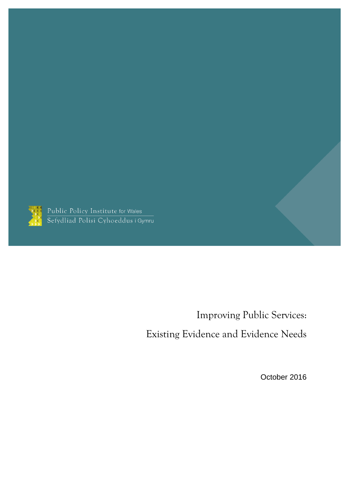

Public Policy Institute for Wales<br>Sefydliad Polisi Cyhoeddus i Gymru

Improving Public Services:

Existing Evidence and Evidence Needs

October 2016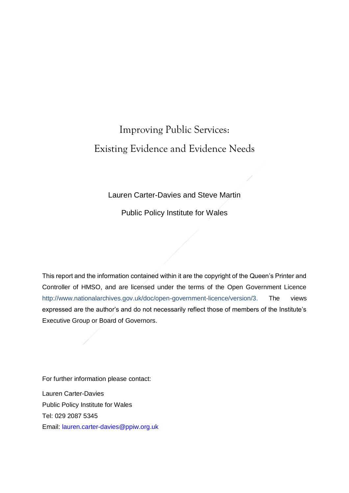# Improving Public Services: Existing Evidence and Evidence Needs

### Lauren Carter-Davies and Steve Martin

Public Policy Institute for Wales

This report and the information contained within it are the copyright of the Queen's Printer and Controller of HMSO, and are licensed under the terms of the Open Government Licence [http://www.nationalarchives.gov.uk/doc/open-government-licence/version/3.](http://www.nationalarchives.gov.uk/doc/open-government-licence/version/3) The views expressed are the author's and do not necessarily reflect those of members of the Institute's Executive Group or Board of Governors.

For further information please contact:

Lauren Carter-Davies Public Policy Institute for Wales Tel: 029 2087 5345 Email: [lauren.carter-davies@ppiw.org.uk](mailto:lauren.carter-davies@ppiw.org.uk)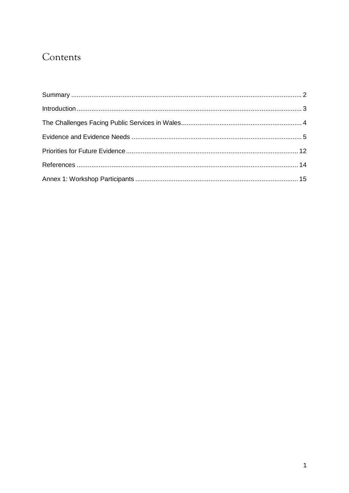## Contents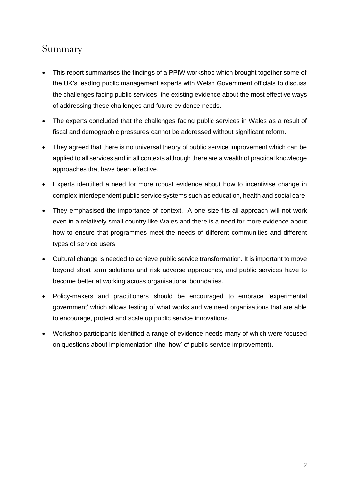## <span id="page-3-0"></span>Summary

- This report summarises the findings of a PPIW workshop which brought together some of the UK's leading public management experts with Welsh Government officials to discuss the challenges facing public services, the existing evidence about the most effective ways of addressing these challenges and future evidence needs.
- The experts concluded that the challenges facing public services in Wales as a result of fiscal and demographic pressures cannot be addressed without significant reform.
- They agreed that there is no universal theory of public service improvement which can be applied to all services and in all contexts although there are a wealth of practical knowledge approaches that have been effective.
- Experts identified a need for more robust evidence about how to incentivise change in complex interdependent public service systems such as education, health and social care.
- They emphasised the importance of context. A one size fits all approach will not work even in a relatively small country like Wales and there is a need for more evidence about how to ensure that programmes meet the needs of different communities and different types of service users.
- Cultural change is needed to achieve public service transformation. It is important to move beyond short term solutions and risk adverse approaches, and public services have to become better at working across organisational boundaries.
- Policy-makers and practitioners should be encouraged to embrace 'experimental government' which allows testing of what works and we need organisations that are able to encourage, protect and scale up public service innovations.
- Workshop participants identified a range of evidence needs many of which were focused on questions about implementation (the 'how' of public service improvement).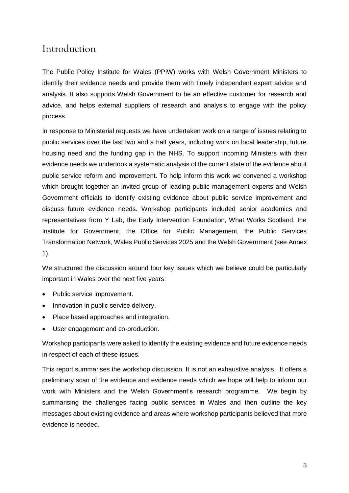## <span id="page-4-0"></span>Introduction

The Public Policy Institute for Wales (PPIW) works with Welsh Government Ministers to identify their evidence needs and provide them with timely independent expert advice and analysis. It also supports Welsh Government to be an effective customer for research and advice, and helps external suppliers of research and analysis to engage with the policy process.

In response to Ministerial requests we have undertaken work on a range of issues relating to public services over the last two and a half years, including work on local leadership, future housing need and the funding gap in the NHS. To support incoming Ministers with their evidence needs we undertook a systematic analysis of the current state of the evidence about public service reform and improvement. To help inform this work we convened a workshop which brought together an invited group of leading public management experts and Welsh Government officials to identify existing evidence about public service improvement and discuss future evidence needs. Workshop participants included senior academics and representatives from Y Lab, the Early Intervention Foundation, What Works Scotland, the Institute for Government, the Office for Public Management, the Public Services Transformation Network, Wales Public Services 2025 and the Welsh Government (see Annex 1).

We structured the discussion around four key issues which we believe could be particularly important in Wales over the next five years:

- Public service improvement.
- Innovation in public service delivery.
- Place based approaches and integration.
- User engagement and co-production.

Workshop participants were asked to identify the existing evidence and future evidence needs in respect of each of these issues.

This report summarises the workshop discussion. It is not an exhaustive analysis. It offers a preliminary scan of the evidence and evidence needs which we hope will help to inform our work with Ministers and the Welsh Government's research programme. We begin by summarising the challenges facing public services in Wales and then outline the key messages about existing evidence and areas where workshop participants believed that more evidence is needed.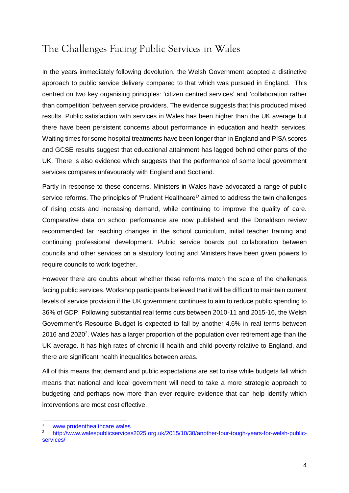## <span id="page-5-0"></span>The Challenges Facing Public Services in Wales

In the years immediately following devolution, the Welsh Government adopted a distinctive approach to public service delivery compared to that which was pursued in England. This centred on two key organising principles: 'citizen centred services' and 'collaboration rather than competition' between service providers. The evidence suggests that this produced mixed results. Public satisfaction with services in Wales has been higher than the UK average but there have been persistent concerns about performance in education and health services. Waiting times for some hospital treatments have been longer than in England and PISA scores and GCSE results suggest that educational attainment has lagged behind other parts of the UK. There is also evidence which suggests that the performance of some local government services compares unfavourably with England and Scotland.

Partly in response to these concerns, Ministers in Wales have advocated a range of public service reforms. The principles of 'Prudent Healthcare<sup>1</sup>' aimed to address the twin challenges of rising costs and increasing demand, while continuing to improve the quality of care. Comparative data on school performance are now published and the Donaldson review recommended far reaching changes in the school curriculum, initial teacher training and continuing professional development. Public service boards put collaboration between councils and other services on a statutory footing and Ministers have been given powers to require councils to work together.

However there are doubts about whether these reforms match the scale of the challenges facing public services. Workshop participants believed that it will be difficult to maintain current levels of service provision if the UK government continues to aim to reduce public spending to 36% of GDP. Following substantial real terms cuts between 2010-11 and 2015-16, the Welsh Government's Resource Budget is expected to fall by another 4.6% in real terms between 2016 and 2020<sup>2</sup>. Wales has a larger proportion of the population over retirement age than the UK average. It has high rates of chronic ill health and child poverty relative to England, and there are significant health inequalities between areas.

All of this means that demand and public expectations are set to rise while budgets fall which means that national and local government will need to take a more strategic approach to budgeting and perhaps now more than ever require evidence that can help identify which interventions are most cost effective.

-

<sup>1</sup> [www.prudenthealthcare.wales](http://www.prudenthealthcare.wales/)

<sup>2</sup> [http://www.walespublicservices2025.org.uk/2015/10/30/another-four-tough-years-for-welsh-public](http://www.walespublicservices2025.org.uk/2015/10/30/another-four-tough-years-for-welsh-public-services/)[services/](http://www.walespublicservices2025.org.uk/2015/10/30/another-four-tough-years-for-welsh-public-services/)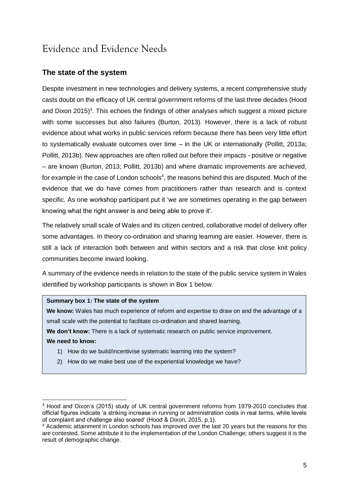## <span id="page-6-0"></span>Evidence and Evidence Needs

## **The state of the system**

Despite investment in new technologies and delivery systems, a recent comprehensive study casts doubt on the efficacy of UK central government reforms of the last three decades (Hood and Dixon 2015)<sup>3</sup>. This echoes the findings of other analyses which suggest a mixed picture with some successes but also failures (Burton, 2013). However, there is a lack of robust evidence about what works in public services reform because there has been very little effort to systematically evaluate outcomes over time – in the UK or internationally (Pollitt, 2013a; Pollitt, 2013b). New approaches are often rolled out before their impacts - positive or negative – are known (Burton, 2013; Pollitt, 2013b) and where dramatic improvements are achieved, for example in the case of London schools<sup>4</sup>, the reasons behind this are disputed. Much of the evidence that we do have comes from practitioners rather than research and is context specific. As one workshop participant put it 'we are sometimes operating in the gap between knowing what the right answer is and being able to prove it'.

The relatively small scale of Wales and its citizen centred, collaborative model of delivery offer some advantages. In theory co-ordination and sharing learning are easier. However, there is still a lack of interaction both between and within sectors and a risk that close knit policy communities become inward looking.

A summary of the evidence needs in relation to the state of the public service system in Wales identified by workshop participants is shown in Box 1 below.

### **Summary box 1: The state of the system**

**We know:** Wales has much experience of reform and expertise to draw on and the advantage of a small scale with the potential to facilitate co-ordination and shared learning.

**We don't know:** There is a lack of systematic research on public service improvement.

### **We need to know:**

-

- 1) How do we build/incentivise systematic learning into the system?
- 2) How do we make best use of the experiential knowledge we have?

<sup>&</sup>lt;sup>3</sup> Hood and Dixon's (2015) study of UK central government reforms from 1979-2010 concludes that official figures indicate 'a striking increase in running or administration costs in real terms, while levels of complaint and challenge also soared' (Hood & Dixon, 2015, p.1).

<sup>4</sup> Academic attainment in London schools has improved over the last 20 years but the reasons for this are contested. Some attribute it to the implementation of the London Challenge; others suggest it is the result of demographic change.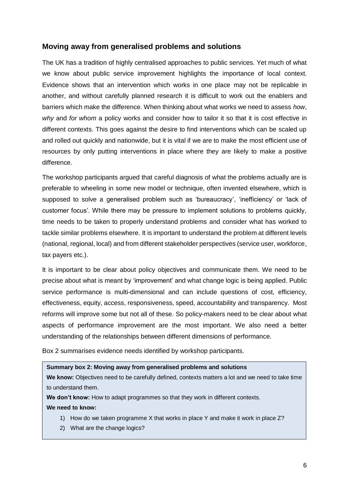### **Moving away from generalised problems and solutions**

The UK has a tradition of highly centralised approaches to public services. Yet much of what we know about public service improvement highlights the importance of local context. Evidence shows that an intervention which works in one place may not be replicable in another, and without carefully planned research it is difficult to work out the enablers and barriers which make the difference. When thinking about what works we need to assess *how*, *why* and *for whom* a policy works and consider how to tailor it so that it is cost effective in different contexts. This goes against the desire to find interventions which can be scaled up and rolled out quickly and nationwide, but it is vital if we are to make the most efficient use of resources by only putting interventions in place where they are likely to make a positive difference.

The workshop participants argued that careful diagnosis of what the problems actually are is preferable to wheeling in some new model or technique, often invented elsewhere, which is supposed to solve a generalised problem such as 'bureaucracy', 'inefficiency' or 'lack of customer focus'. While there may be pressure to implement solutions to problems quickly, time needs to be taken to properly understand problems and consider what has worked to tackle similar problems elsewhere. It is important to understand the problem at different levels (national, regional, local) and from different stakeholder perspectives (service user, workforce, tax payers etc.).

It is important to be clear about policy objectives and communicate them. We need to be precise about what is meant by 'improvement' and what change logic is being applied. Public service performance is multi-dimensional and can include questions of cost, efficiency, effectiveness, equity, access, responsiveness, speed, accountability and transparency. Most reforms will improve some but not all of these. So policy-makers need to be clear about what aspects of performance improvement are the most important. We also need a better understanding of the relationships between different dimensions of performance.

Box 2 summarises evidence needs identified by workshop participants.

### **Summary box 2: Moving away from generalised problems and solutions**

**We know:** Objectives need to be carefully defined, contexts matters a lot and we need to take time to understand them.

**We don't know:** How to adapt programmes so that they work in different contexts.

**We need to know:** 

- 1) How do we taken programme X that works in place Y and make it work in place Z?
- 2) What are the change logics?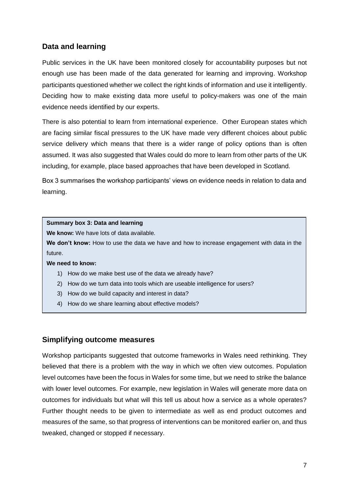## **Data and learning**

Public services in the UK have been monitored closely for accountability purposes but not enough use has been made of the data generated for learning and improving. Workshop participants questioned whether we collect the right kinds of information and use it intelligently. Deciding how to make existing data more useful to policy-makers was one of the main evidence needs identified by our experts.

There is also potential to learn from international experience. Other European states which are facing similar fiscal pressures to the UK have made very different choices about public service delivery which means that there is a wider range of policy options than is often assumed. It was also suggested that Wales could do more to learn from other parts of the UK including, for example, place based approaches that have been developed in Scotland.

Box 3 summarises the workshop participants' views on evidence needs in relation to data and learning.

### **Summary box 3: Data and learning**

**We know:** We have lots of data available.

**We don't know:** How to use the data we have and how to increase engagement with data in the future.

**We need to know:** 

- 1) How do we make best use of the data we already have?
- 2) How do we turn data into tools which are useable intelligence for users?
- 3) How do we build capacity and interest in data?
- 4) How do we share learning about effective models?

### **Simplifying outcome measures**

Workshop participants suggested that outcome frameworks in Wales need rethinking. They believed that there is a problem with the way in which we often view outcomes. Population level outcomes have been the focus in Wales for some time, but we need to strike the balance with lower level outcomes. For example, new legislation in Wales will generate more data on outcomes for individuals but what will this tell us about how a service as a whole operates? Further thought needs to be given to intermediate as well as end product outcomes and measures of the same, so that progress of interventions can be monitored earlier on, and thus tweaked, changed or stopped if necessary.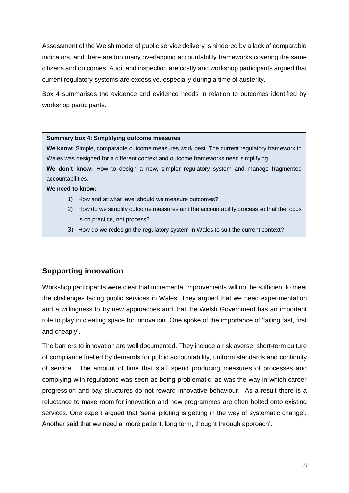Assessment of the Welsh model of public service delivery is hindered by a lack of comparable indicators, and there are too many overlapping accountability frameworks covering the same citizens and outcomes. Audit and inspection are costly and workshop participants argued that current regulatory systems are excessive, especially during a time of austerity.

Box 4 summarises the evidence and evidence needs in relation to outcomes identified by workshop participants.

#### **Summary box 4: Simplifying outcome measures**

**We know:** Simple, comparable outcome measures work best. The current regulatory framework in Wales was designed for a different context and outcome frameworks need simplifying.

We don't know: How to design a new, simpler regulatory system and manage fragmented accountabilities.

#### **We need to know:**

- 1) How and at what level should we measure outcomes?
- 2) How do we simplify outcome measures and the accountability process so that the focus is on practice, not process?
- 3) How do we redesign the regulatory system in Wales to suit the current context?

### **Supporting innovation**

Workshop participants were clear that incremental improvements will not be sufficient to meet the challenges facing public services in Wales. They argued that we need experimentation and a willingness to try new approaches and that the Welsh Government has an important role to play in creating space for innovation. One spoke of the importance of 'failing fast, first and cheaply'.

The barriers to innovation are well documented. They include a risk averse, short-term culture of compliance fuelled by demands for public accountability, uniform standards and continuity of service. The amount of time that staff spend producing measures of processes and complying with regulations was seen as being problematic, as was the way in which career progression and pay structures do not reward innovative behaviour. As a result there is a reluctance to make room for innovation and new programmes are often bolted onto existing services. One expert argued that 'serial piloting is getting in the way of systematic change'. Another said that we need a 'more patient, long term, thought through approach'.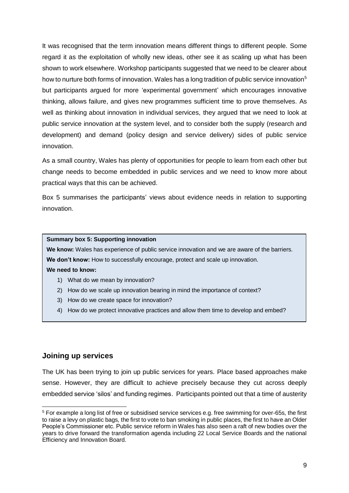It was recognised that the term innovation means different things to different people. Some regard it as the exploitation of wholly new ideas, other see it as scaling up what has been shown to work elsewhere. Workshop participants suggested that we need to be clearer about how to nurture both forms of innovation. Wales has a long tradition of public service innovation<sup>5</sup> but participants argued for more 'experimental government' which encourages innovative thinking, allows failure, and gives new programmes sufficient time to prove themselves. As well as thinking about innovation in individual services, they argued that we need to look at public service innovation at the system level, and to consider both the supply (research and development) and demand (policy design and service delivery) sides of public service innovation.

As a small country, Wales has plenty of opportunities for people to learn from each other but change needs to become embedded in public services and we need to know more about practical ways that this can be achieved.

Box 5 summarises the participants' views about evidence needs in relation to supporting innovation.

### **Summary box 5: Supporting innovation**

**We know:** Wales has experience of public service innovation and we are aware of the barriers. We don't know: How to successfully encourage, protect and scale up innovation. **We need to know:** 

- 1) What do we mean by innovation?
- 2) How do we scale up innovation bearing in mind the importance of context?
- 3) How do we create space for innovation?
- 4) How do we protect innovative practices and allow them time to develop and embed?

### **Joining up services**

-

The UK has been trying to join up public services for years. Place based approaches make sense. However, they are difficult to achieve precisely because they cut across deeply embedded service 'silos' and funding regimes. Participants pointed out that a time of austerity

<sup>&</sup>lt;sup>5</sup> For example a long list of free or subsidised service services e.g. free swimming for over-65s, the first to raise a levy on plastic bags, the first to vote to ban smoking in public places, the first to have an Older People's Commissioner etc. Public service reform in Wales has also seen a raft of new bodies over the years to drive forward the transformation agenda including 22 Local Service Boards and the national Efficiency and Innovation Board.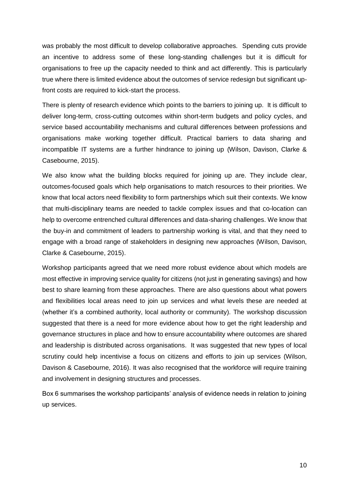was probably the most difficult to develop collaborative approaches. Spending cuts provide an incentive to address some of these long-standing challenges but it is difficult for organisations to free up the capacity needed to think and act differently. This is particularly true where there is limited evidence about the outcomes of service redesign but significant upfront costs are required to kick-start the process.

There is plenty of research evidence which points to the barriers to joining up. It is difficult to deliver long-term, cross-cutting outcomes within short-term budgets and policy cycles, and service based accountability mechanisms and cultural differences between professions and organisations make working together difficult. Practical barriers to data sharing and incompatible IT systems are a further hindrance to joining up (Wilson, Davison, Clarke & Casebourne, 2015).

We also know what the building blocks required for joining up are. They include clear, outcomes-focused goals which help organisations to match resources to their priorities. We know that local actors need flexibility to form partnerships which suit their contexts. We know that multi-disciplinary teams are needed to tackle complex issues and that co-location can help to overcome entrenched cultural differences and data-sharing challenges. We know that the buy-in and commitment of leaders to partnership working is vital, and that they need to engage with a broad range of stakeholders in designing new approaches (Wilson, Davison, Clarke & Casebourne, 2015).

Workshop participants agreed that we need more robust evidence about which models are most effective in improving service quality for citizens (not just in generating savings) and how best to share learning from these approaches. There are also questions about what powers and flexibilities local areas need to join up services and what levels these are needed at (whether it's a combined authority, local authority or community). The workshop discussion suggested that there is a need for more evidence about how to get the right leadership and governance structures in place and how to ensure accountability where outcomes are shared and leadership is distributed across organisations. It was suggested that new types of local scrutiny could help incentivise a focus on citizens and efforts to join up services (Wilson, Davison & Casebourne, 2016). It was also recognised that the workforce will require training and involvement in designing structures and processes.

Box 6 summarises the workshop participants' analysis of evidence needs in relation to joining up services.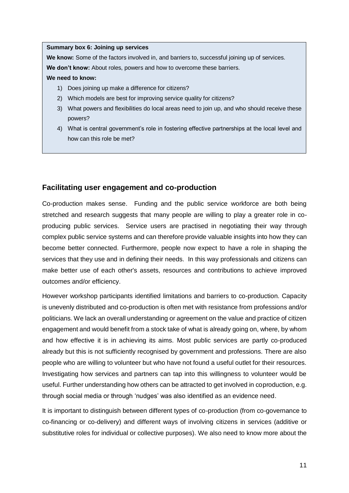#### **Summary box 6: Joining up services**

**We know:** Some of the factors involved in, and barriers to, successful joining up of services.

**We don't know:** About roles, powers and how to overcome these barriers.

### **We need to know:**

- 1) Does joining up make a difference for citizens?
- 2) Which models are best for improving service quality for citizens?
- 3) What powers and flexibilities do local areas need to join up, and who should receive these powers?
- 4) What is central government's role in fostering effective partnerships at the local level and how can this role be met?

### **Facilitating user engagement and co-production**

Co-production makes sense. Funding and the public service workforce are both being stretched and research suggests that many people are willing to play a greater role in coproducing public services. Service users are practised in negotiating their way through complex public service systems and can therefore provide valuable insights into how they can become better connected. Furthermore, people now expect to have a role in shaping the services that they use and in defining their needs. In this way professionals and citizens can make better use of each other's assets, resources and contributions to achieve improved outcomes and/or efficiency.

However workshop participants identified limitations and barriers to co-production. Capacity is unevenly distributed and co-production is often met with resistance from professions and/or politicians. We lack an overall understanding or agreement on the value and practice of citizen engagement and would benefit from a stock take of what is already going on, where, by whom and how effective it is in achieving its aims. Most public services are partly co-produced already but this is not sufficiently recognised by government and professions. There are also people who are willing to volunteer but who have not found a useful outlet for their resources. Investigating how services and partners can tap into this willingness to volunteer would be useful. Further understanding how others can be attracted to get involved in coproduction, e.g. through social media or through 'nudges' was also identified as an evidence need.

It is important to distinguish between different types of co-production (from co-governance to co-financing or co-delivery) and different ways of involving citizens in services (additive or substitutive roles for individual or collective purposes). We also need to know more about the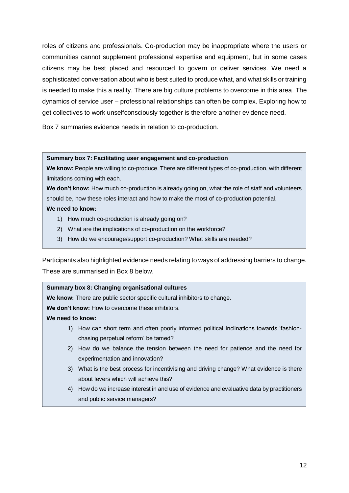roles of citizens and professionals. Co-production may be inappropriate where the users or communities cannot supplement professional expertise and equipment, but in some cases citizens may be best placed and resourced to govern or deliver services. We need a sophisticated conversation about who is best suited to produce what, and what skills or training is needed to make this a reality. There are big culture problems to overcome in this area. The dynamics of service user – professional relationships can often be complex. Exploring how to get collectives to work unselfconsciously together is therefore another evidence need.

Box 7 summaries evidence needs in relation to co-production.

### **Summary box 7: Facilitating user engagement and co-production**

**We know:** People are willing to co-produce. There are different types of co-production, with different limitations coming with each.

We don't know: How much co-production is already going on, what the role of staff and volunteers should be, how these roles interact and how to make the most of co-production potential.

### **We need to know:**

- 1) How much co-production is already going on?
- 2) What are the implications of co-production on the workforce?
- 3) How do we encourage/support co-production? What skills are needed?

<span id="page-13-0"></span>Participants also highlighted evidence needs relating to ways of addressing barriers to change. These are summarised in Box 8 below.

## **Summary box 8: Changing organisational cultures We know:** There are public sector specific cultural inhibitors to change. **We don't know:** How to overcome these inhibitors. **We need to know:**  1) How can short term and often poorly informed political inclinations towards 'fashionchasing perpetual reform' be tamed? 2) How do we balance the tension between the need for patience and the need for experimentation and innovation? 3) What is the best process for incentivising and driving change? What evidence is there about levers which will achieve this? 4) How do we increase interest in and use of evidence and evaluative data by practitioners and public service managers?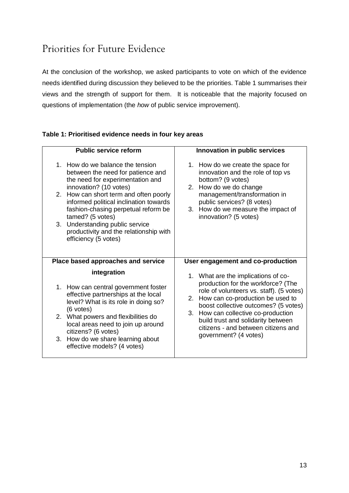## Priorities for Future Evidence

At the conclusion of the workshop, we asked participants to vote on which of the evidence needs identified during discussion they believed to be the priorities. Table 1 summarises their views and the strength of support for them. It is noticeable that the majority focused on questions of implementation (the *how* of public service improvement).

## **Table 1: Prioritised evidence needs in four key areas**

| <b>Public service reform</b>                                                                                                                                                                                                                                                                                                                                                            | Innovation in public services                                                                                                                                                                                                                                                                                                                        |
|-----------------------------------------------------------------------------------------------------------------------------------------------------------------------------------------------------------------------------------------------------------------------------------------------------------------------------------------------------------------------------------------|------------------------------------------------------------------------------------------------------------------------------------------------------------------------------------------------------------------------------------------------------------------------------------------------------------------------------------------------------|
| 1. How do we balance the tension<br>between the need for patience and<br>the need for experimentation and<br>innovation? (10 votes)<br>2. How can short term and often poorly<br>informed political inclination towards<br>fashion-chasing perpetual reform be<br>tamed? (5 votes)<br>3. Understanding public service<br>productivity and the relationship with<br>efficiency (5 votes) | 1. How do we create the space for<br>innovation and the role of top vs<br>bottom? (9 votes)<br>2. How do we do change<br>management/transformation in<br>public services? (8 votes)<br>3. How do we measure the impact of<br>innovation? (5 votes)                                                                                                   |
| Place based approaches and service                                                                                                                                                                                                                                                                                                                                                      | User engagement and co-production                                                                                                                                                                                                                                                                                                                    |
| integration<br>1. How can central government foster<br>effective partnerships at the local<br>level? What is its role in doing so?<br>(6 votes)<br>2. What powers and flexibilities do<br>local areas need to join up around<br>citizens? (6 votes)<br>How do we share learning about<br>3.<br>effective models? (4 votes)                                                              | 1. What are the implications of co-<br>production for the workforce? (The<br>role of volunteers vs. staff). (5 votes)<br>How can co-production be used to<br>2.<br>boost collective outcomes? (5 votes)<br>3. How can collective co-production<br>build trust and solidarity between<br>citizens - and between citizens and<br>government? (4 votes) |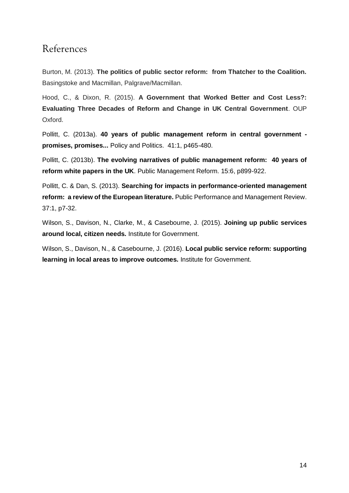## <span id="page-15-0"></span>References

Burton, M. (2013). **The politics of public sector reform: from Thatcher to the Coalition.**  Basingstoke and Macmillan, Palgrave/Macmillan.

Hood, C., & Dixon, R. (2015). **A Government that Worked Better and Cost Less?: Evaluating Three Decades of Reform and Change in UK Central Government**. OUP Oxford.

Pollitt, C. (2013a). **40 years of public management reform in central government promises, promises...** Policy and Politics. 41:1, p465-480.

Pollitt, C. (2013b). **The evolving narratives of public management reform: 40 years of reform white papers in the UK**. Public Management Reform. 15:6, p899-922.

Pollitt, C. & Dan, S. (2013). **Searching for impacts in performance-oriented management reform: a review of the European literature.** Public Performance and Management Review. 37:1, p7-32.

Wilson, S., Davison, N., Clarke, M., & Casebourne, J. (2015). **Joining up public services around local, citizen needs.** Institute for Government.

Wilson, S., Davison, N., & Casebourne, J. (2016). **Local public service reform: supporting learning in local areas to improve outcomes.** Institute for Government.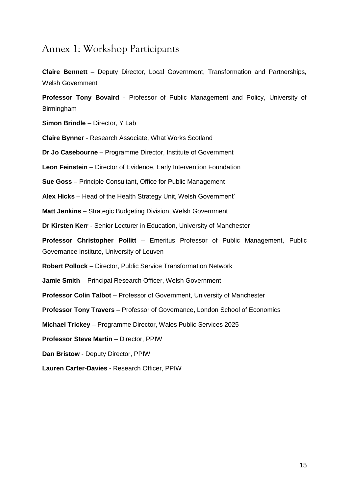## <span id="page-16-0"></span>Annex 1: Workshop Participants

**Claire Bennett** – Deputy Director, Local Government, Transformation and Partnerships, Welsh Government

**Professor Tony Bovaird** - Professor of Public Management and Policy, University of Birmingham

**Simon Brindle** – Director, Y Lab

**Claire Bynner** - Research Associate, What Works Scotland

**Dr Jo Casebourne** – Programme Director, Institute of Government

**Leon Feinstein** – Director of Evidence, Early Intervention Foundation

**Sue Goss** – Principle Consultant, Office for Public Management

**Alex Hicks** – Head of the Health Strategy Unit, Welsh Government'

**Matt Jenkins** – Strategic Budgeting Division, Welsh Government

**Dr Kirsten Kerr** - Senior Lecturer in Education, University of Manchester

**Professor Christopher Pollitt** – Emeritus Professor of Public Management, Public Governance Institute, University of Leuven

**Robert Pollock** – Director, Public Service Transformation Network

**Jamie Smith** – Principal Research Officer, Welsh Government

**Professor Colin Talbot** – Professor of Government, University of Manchester

**Professor Tony Travers** – Professor of Governance, London School of Economics

**Michael Trickey** – Programme Director, Wales Public Services 2025

**Professor Steve Martin** – Director, PPIW

**Dan Bristow** - Deputy Director, PPIW

**Lauren Carter-Davies** - Research Officer, PPIW